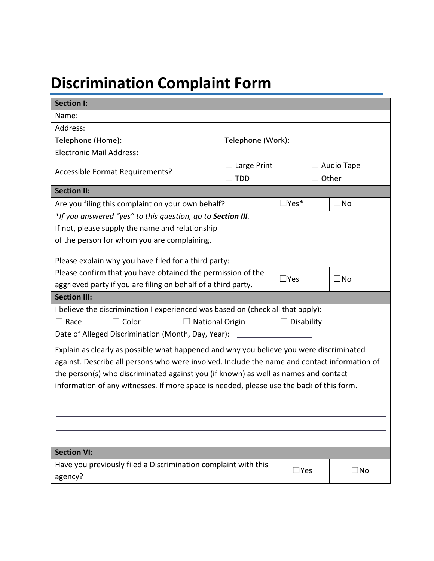## **Discrimination Complaint Form**

| <b>Section I:</b>                                                                            |                                                                  |               |              |              |  |
|----------------------------------------------------------------------------------------------|------------------------------------------------------------------|---------------|--------------|--------------|--|
| Name:                                                                                        |                                                                  |               |              |              |  |
| Address:                                                                                     |                                                                  |               |              |              |  |
| Telephone (Home):                                                                            | Telephone (Work):                                                |               |              |              |  |
| <b>Electronic Mail Address:</b>                                                              |                                                                  |               |              |              |  |
|                                                                                              | Large Print                                                      |               | □ Audio Tape |              |  |
| Accessible Format Requirements?                                                              | $\Box$ TDD                                                       |               | $\Box$ Other |              |  |
| <b>Section II:</b>                                                                           |                                                                  |               |              |              |  |
|                                                                                              | $\Box$ Yes*<br>Are you filing this complaint on your own behalf? |               |              | ∃No          |  |
| *If you answered "yes" to this question, go to Section III.                                  |                                                                  |               |              |              |  |
| If not, please supply the name and relationship                                              |                                                                  |               |              |              |  |
| of the person for whom you are complaining.                                                  |                                                                  |               |              |              |  |
| Please explain why you have filed for a third party:                                         |                                                                  |               |              |              |  |
| Please confirm that you have obtained the permission of the                                  |                                                                  |               |              |              |  |
| $\Box$ Yes<br>aggrieved party if you are filing on behalf of a third party.                  |                                                                  |               |              | $\square$ No |  |
| <b>Section III:</b>                                                                          |                                                                  |               |              |              |  |
| I believe the discrimination I experienced was based on (check all that apply):              |                                                                  |               |              |              |  |
| $\Box$ Race<br>$\Box$ Color<br>$\Box$ National Origin                                        | $\Box$ Disability                                                |               |              |              |  |
| Date of Alleged Discrimination (Month, Day, Year): _____________________________             |                                                                  |               |              |              |  |
| Explain as clearly as possible what happened and why you believe you were discriminated      |                                                                  |               |              |              |  |
| against. Describe all persons who were involved. Include the name and contact information of |                                                                  |               |              |              |  |
| the person(s) who discriminated against you (if known) as well as names and contact          |                                                                  |               |              |              |  |
| information of any witnesses. If more space is needed, please use the back of this form.     |                                                                  |               |              |              |  |
|                                                                                              |                                                                  |               |              |              |  |
|                                                                                              |                                                                  |               |              |              |  |
|                                                                                              |                                                                  |               |              |              |  |
|                                                                                              |                                                                  |               |              |              |  |
|                                                                                              |                                                                  |               |              |              |  |
| <b>Section VI:</b>                                                                           |                                                                  |               |              |              |  |
| Have you previously filed a Discrimination complaint with this                               |                                                                  | $\square$ Yes |              | $\square$ No |  |
| agency?                                                                                      |                                                                  |               |              |              |  |